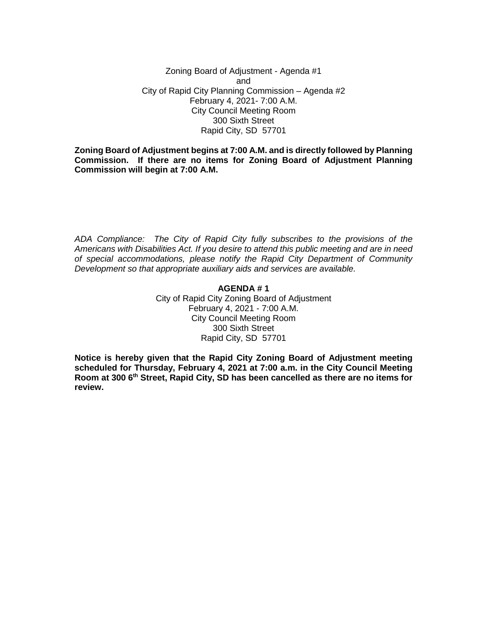Zoning Board of Adjustment - Agenda #1 and City of Rapid City Planning Commission – Agenda #2 February 4, 2021- 7:00 A.M. City Council Meeting Room 300 Sixth Street Rapid City, SD 57701

**Zoning Board of Adjustment begins at 7:00 A.M. and is directly followed by Planning Commission. If there are no items for Zoning Board of Adjustment Planning Commission will begin at 7:00 A.M.**

*ADA Compliance: The City of Rapid City fully subscribes to the provisions of the Americans with Disabilities Act. If you desire to attend this public meeting and are in need of special accommodations, please notify the Rapid City Department of Community Development so that appropriate auxiliary aids and services are available.*

> **AGENDA # 1** City of Rapid City Zoning Board of Adjustment February 4, 2021 - 7:00 A.M. City Council Meeting Room 300 Sixth Street Rapid City, SD 57701

**Notice is hereby given that the Rapid City Zoning Board of Adjustment meeting scheduled for Thursday, February 4, 2021 at 7:00 a.m. in the City Council Meeting Room at 300 6th Street, Rapid City, SD has been cancelled as there are no items for review.**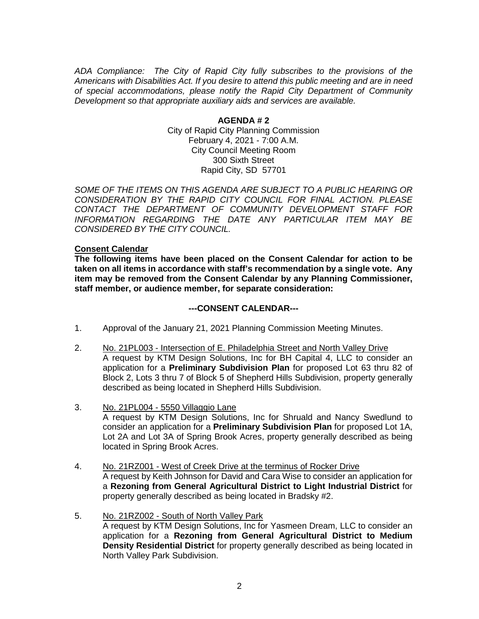*ADA Compliance: The City of Rapid City fully subscribes to the provisions of the Americans with Disabilities Act. If you desire to attend this public meeting and are in need of special accommodations, please notify the Rapid City Department of Community Development so that appropriate auxiliary aids and services are available.*

> **AGENDA # 2** City of Rapid City Planning Commission February 4, 2021 - 7:00 A.M. City Council Meeting Room 300 Sixth Street Rapid City, SD 57701

*SOME OF THE ITEMS ON THIS AGENDA ARE SUBJECT TO A PUBLIC HEARING OR CONSIDERATION BY THE RAPID CITY COUNCIL FOR FINAL ACTION. PLEASE CONTACT THE DEPARTMENT OF COMMUNITY DEVELOPMENT STAFF FOR INFORMATION REGARDING THE DATE ANY PARTICULAR ITEM MAY BE CONSIDERED BY THE CITY COUNCIL.*

## **Consent Calendar**

**The following items have been placed on the Consent Calendar for action to be taken on all items in accordance with staff's recommendation by a single vote. Any item may be removed from the Consent Calendar by any Planning Commissioner, staff member, or audience member, for separate consideration:**

## **---CONSENT CALENDAR---**

- 1. Approval of the January 21, 2021 Planning Commission Meeting Minutes.
- 2. No. 21PL003 Intersection of E. Philadelphia Street and North Valley Drive A request by KTM Design Solutions, Inc for BH Capital 4, LLC to consider an application for a **Preliminary Subdivision Plan** for proposed Lot 63 thru 82 of Block 2, Lots 3 thru 7 of Block 5 of Shepherd Hills Subdivision, property generally described as being located in Shepherd Hills Subdivision.
- 3. No. 21PL004 5550 Villaggio Lane A request by KTM Design Solutions, Inc for Shruald and Nancy Swedlund to consider an application for a **Preliminary Subdivision Plan** for proposed Lot 1A, Lot 2A and Lot 3A of Spring Brook Acres, property generally described as being located in Spring Brook Acres.
- 4. No. 21RZ001 West of Creek Drive at the terminus of Rocker Drive A request by Keith Johnson for David and Cara Wise to consider an application for a **Rezoning from General Agricultural District to Light Industrial District** for property generally described as being located in Bradsky #2.
- 5. No. 21RZ002 South of North Valley Park A request by KTM Design Solutions, Inc for Yasmeen Dream, LLC to consider an application for a **Rezoning from General Agricultural District to Medium Density Residential District** for property generally described as being located in North Valley Park Subdivision.